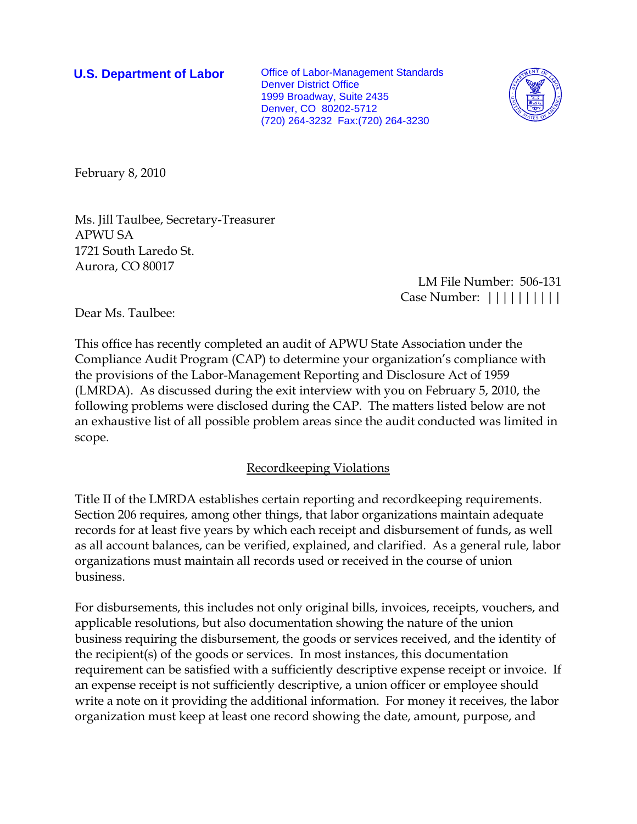**U.S. Department of Labor** Office of Labor-Management Standards Denver District Office 1999 Broadway, Suite 2435 Denver, CO 80202-5712 (720) 264-3232 Fax:(720) 264-3230



February 8, 2010

Ms. Jill Taulbee, Secretary-Treasurer APWU SA 1721 South Laredo St. Aurora, CO 80017

 LM File Number: 506-131 Case Number: ||||||||||

Dear Ms. Taulbee:

This office has recently completed an audit of APWU State Association under the Compliance Audit Program (CAP) to determine your organization's compliance with the provisions of the Labor-Management Reporting and Disclosure Act of 1959 (LMRDA). As discussed during the exit interview with you on February 5, 2010, the following problems were disclosed during the CAP. The matters listed below are not an exhaustive list of all possible problem areas since the audit conducted was limited in scope.

## Recordkeeping Violations

Title II of the LMRDA establishes certain reporting and recordkeeping requirements. Section 206 requires, among other things, that labor organizations maintain adequate records for at least five years by which each receipt and disbursement of funds, as well as all account balances, can be verified, explained, and clarified. As a general rule, labor organizations must maintain all records used or received in the course of union business.

For disbursements, this includes not only original bills, invoices, receipts, vouchers, and applicable resolutions, but also documentation showing the nature of the union business requiring the disbursement, the goods or services received, and the identity of the recipient(s) of the goods or services. In most instances, this documentation requirement can be satisfied with a sufficiently descriptive expense receipt or invoice. If an expense receipt is not sufficiently descriptive, a union officer or employee should write a note on it providing the additional information. For money it receives, the labor organization must keep at least one record showing the date, amount, purpose, and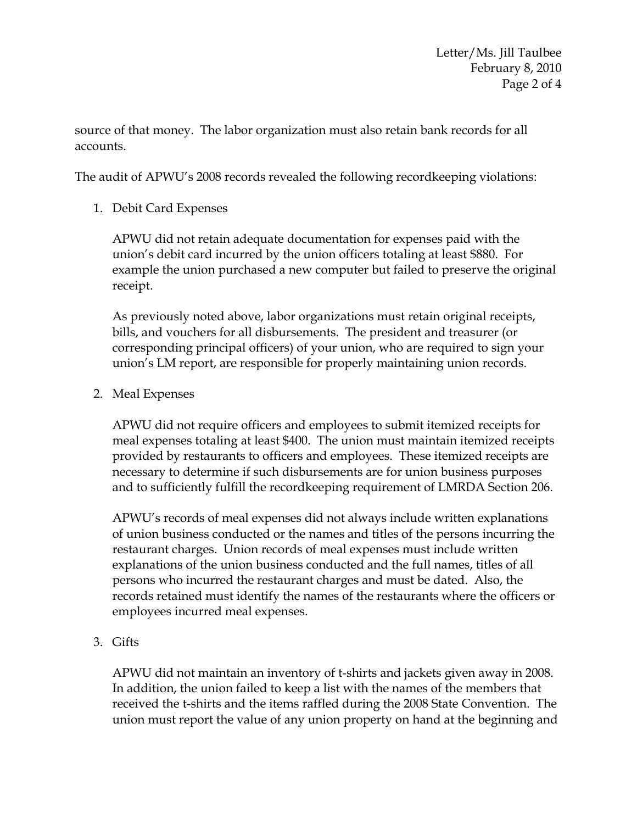source of that money. The labor organization must also retain bank records for all accounts.

The audit of APWU's 2008 records revealed the following recordkeeping violations:

1. Debit Card Expenses

APWU did not retain adequate documentation for expenses paid with the union's debit card incurred by the union officers totaling at least \$880. For example the union purchased a new computer but failed to preserve the original receipt.

As previously noted above, labor organizations must retain original receipts, bills, and vouchers for all disbursements. The president and treasurer (or corresponding principal officers) of your union, who are required to sign your union's LM report, are responsible for properly maintaining union records.

2. Meal Expenses

APWU did not require officers and employees to submit itemized receipts for meal expenses totaling at least \$400. The union must maintain itemized receipts provided by restaurants to officers and employees. These itemized receipts are necessary to determine if such disbursements are for union business purposes and to sufficiently fulfill the recordkeeping requirement of LMRDA Section 206.

APWU's records of meal expenses did not always include written explanations of union business conducted or the names and titles of the persons incurring the restaurant charges. Union records of meal expenses must include written explanations of the union business conducted and the full names, titles of all persons who incurred the restaurant charges and must be dated. Also, the records retained must identify the names of the restaurants where the officers or employees incurred meal expenses.

3. Gifts

APWU did not maintain an inventory of t-shirts and jackets given away in 2008. In addition, the union failed to keep a list with the names of the members that received the t-shirts and the items raffled during the 2008 State Convention. The union must report the value of any union property on hand at the beginning and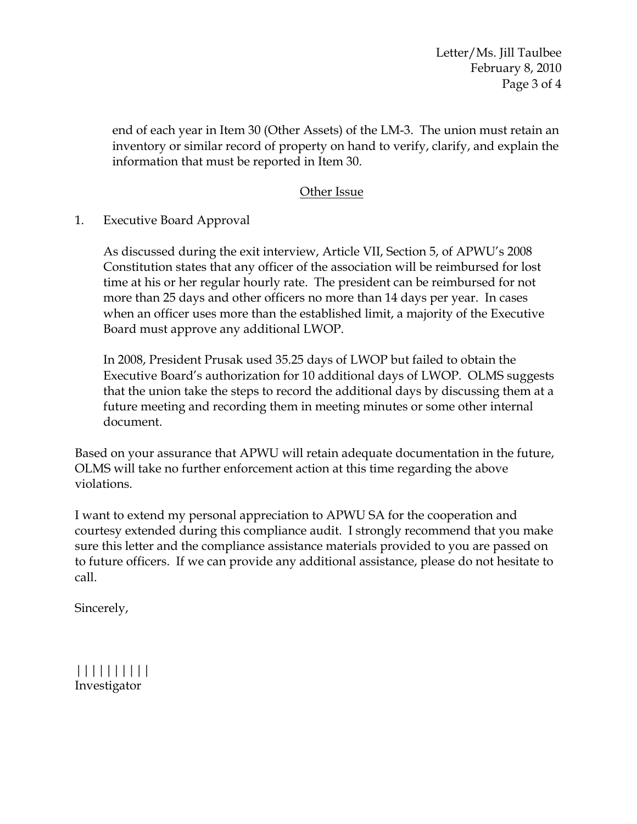Letter/Ms. Jill Taulbee February 8, 2010 Page 3 of 4

end of each year in Item 30 (Other Assets) of the LM-3. The union must retain an inventory or similar record of property on hand to verify, clarify, and explain the information that must be reported in Item 30.

## Other Issue

1. Executive Board Approval

As discussed during the exit interview, Article VII, Section 5, of APWU's 2008 Constitution states that any officer of the association will be reimbursed for lost time at his or her regular hourly rate. The president can be reimbursed for not more than 25 days and other officers no more than 14 days per year. In cases when an officer uses more than the established limit, a majority of the Executive Board must approve any additional LWOP.

In 2008, President Prusak used 35.25 days of LWOP but failed to obtain the Executive Board's authorization for 10 additional days of LWOP. OLMS suggests that the union take the steps to record the additional days by discussing them at a future meeting and recording them in meeting minutes or some other internal document.

Based on your assurance that APWU will retain adequate documentation in the future, OLMS will take no further enforcement action at this time regarding the above violations.

I want to extend my personal appreciation to APWU SA for the cooperation and courtesy extended during this compliance audit. I strongly recommend that you make sure this letter and the compliance assistance materials provided to you are passed on to future officers. If we can provide any additional assistance, please do not hesitate to call.

Sincerely,

|||||||||| Investigator